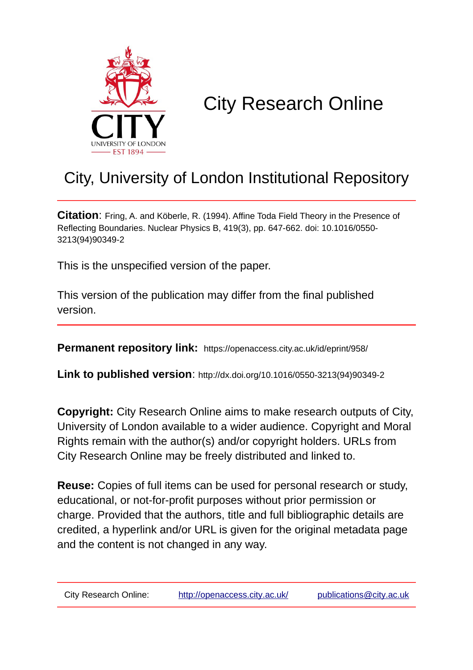

# City Research Online

## City, University of London Institutional Repository

**Citation**: Fring, A. and Köberle, R. (1994). Affine Toda Field Theory in the Presence of Reflecting Boundaries. Nuclear Physics B, 419(3), pp. 647-662. doi: 10.1016/0550- 3213(94)90349-2

This is the unspecified version of the paper.

This version of the publication may differ from the final published version.

**Permanent repository link:** https://openaccess.city.ac.uk/id/eprint/958/

**Link to published version**: http://dx.doi.org/10.1016/0550-3213(94)90349-2

**Copyright:** City Research Online aims to make research outputs of City, University of London available to a wider audience. Copyright and Moral Rights remain with the author(s) and/or copyright holders. URLs from City Research Online may be freely distributed and linked to.

**Reuse:** Copies of full items can be used for personal research or study, educational, or not-for-profit purposes without prior permission or charge. Provided that the authors, title and full bibliographic details are credited, a hyperlink and/or URL is given for the original metadata page and the content is not changed in any way.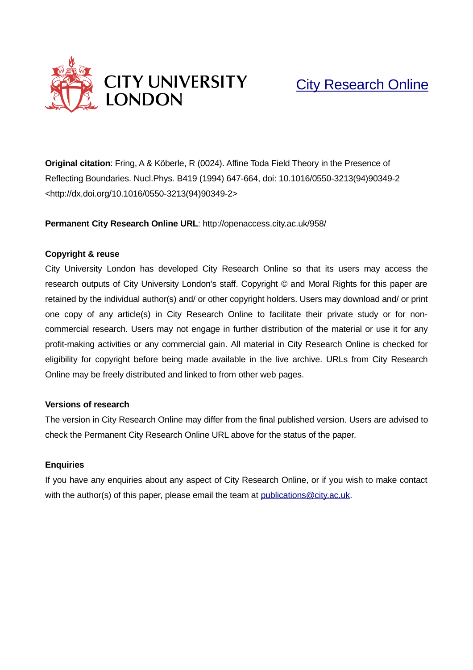

## [City Research Online](http://openaccess.city.ac.uk/)

**Original citation**: Fring, A & Köberle, R (0024). Affine Toda Field Theory in the Presence of Reflecting Boundaries. Nucl.Phys. B419 (1994) 647-664, doi: 10.1016/0550-3213(94)90349-2 <http://dx.doi.org/10.1016/0550-3213(94)90349-2>

**Permanent City Research Online URL**: http://openaccess.city.ac.uk/958/

#### **Copyright & reuse**

City University London has developed City Research Online so that its users may access the research outputs of City University London's staff. Copyright © and Moral Rights for this paper are retained by the individual author(s) and/ or other copyright holders. Users may download and/ or print one copy of any article(s) in City Research Online to facilitate their private study or for noncommercial research. Users may not engage in further distribution of the material or use it for any profit-making activities or any commercial gain. All material in City Research Online is checked for eligibility for copyright before being made available in the live archive. URLs from City Research Online may be freely distributed and linked to from other web pages.

#### **Versions of research**

The version in City Research Online may differ from the final published version. Users are advised to check the Permanent City Research Online URL above for the status of the paper.

#### **Enquiries**

If you have any enquiries about any aspect of City Research Online, or if you wish to make contact with the author(s) of this paper, please email the team at [publications@city.ac.uk.](mailto:publications@city.ac.uk)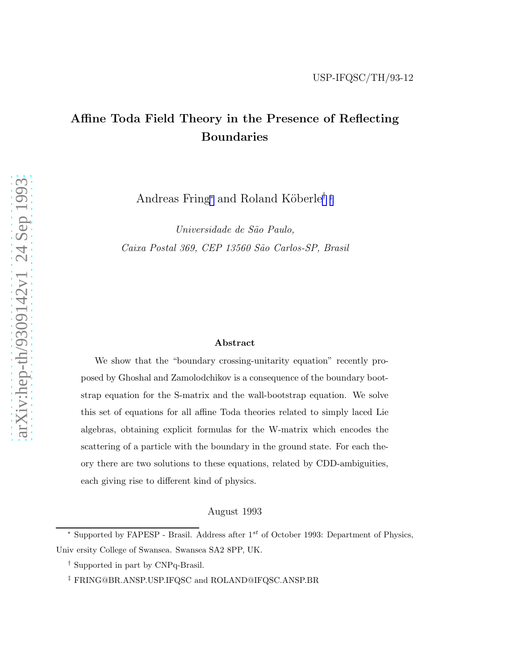### Affine Toda Field Theory in the Presence of Reflecting Boundaries

Andreas Fring<sup>∗</sup> and Roland Köberle<sup>†‡</sup>

*Universidade de S˜ao Paulo, Caixa Postal 369, CEP 13560 S˜ao Carlos-SP, Brasil*

#### Abstract

We show that the "boundary crossing-unitarity equation" recently proposed by Ghoshal and Zamolodchikov is a consequence of the boundary bootstrap equation for the S-matrix and the wall-bootstrap equation. We solve this set of equations for all affine Toda theories related to simply laced Lie algebras, obtaining explicit formulas for the W-matrix which encodes the scattering of a particle with the boundary in the ground state. For each theory there are two solutions to these equations, related by CDD-ambiguities, each giving rise to different kind of physics.

August 1993

<sup>\*</sup> Supported by FAPESP - Brasil. Address after  $1^{st}$  of October 1993: Department of Physics, Univ ersity College of Swansea. Swansea SA2 8PP, UK.

<sup>†</sup> Supported in part by CNPq-Brasil.

<sup>‡</sup> FRING@BR.ANSP.USP.IFQSC and ROLAND@IFQSC.ANSP.BR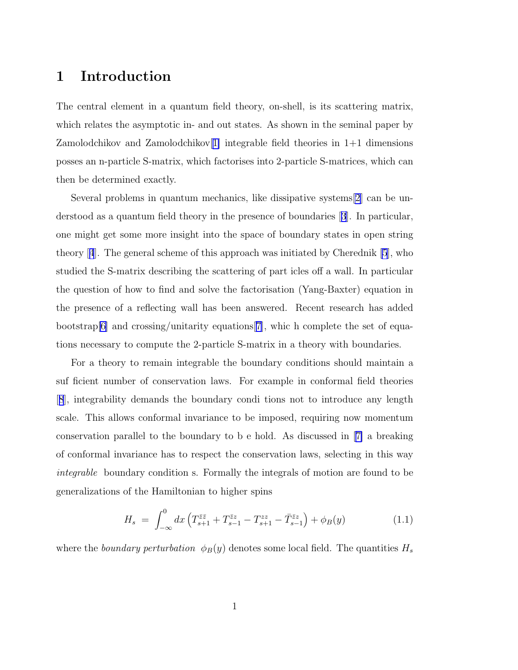### 1 Introduction

The central element in a quantum field theory, on-shell, is its scattering matrix, which relates the asymptotic in- and out states. As shown in the seminal paper by Zamolodchikov and Zamolodchikov $[1]$  $[1]$  integrable field theories in  $1+1$  dimensions posses an n-particle S-matrix, which factorises into 2-particle S-matrices, which can then be determined exactly.

Several problems in quantum mechanics, like dissipative systems[\[2](#page-20-0)] can be understood as a quantum field theory in the presence of boundaries[[3](#page-20-0)]. In particular, one might get some more insight into the space of boundary states in open string theory[[4](#page-20-0)]. The general scheme of this approach was initiated by Cherednik [\[5](#page-20-0)], who studied the S-matrix describing the scattering of part icles off a wall. In particular the question of how to find and solve the factorisation (Yang-Baxter) equation in the presence of a reflecting wall has been answered. Recent research has added bootstrap[\[6\]](#page-20-0) and crossing/unitarity equations[[7\]](#page-20-0), whic h complete the set of equations necessary to compute the 2-particle S-matrix in a theory with boundaries.

For a theory to remain integrable the boundary conditions should maintain a suf ficient number of conservation laws. For example in conformal field theories [[8](#page-20-0)], integrability demands the boundary condi tions not to introduce any length scale. This allows conformal invariance to be imposed, requiring now momentum conservation parallel to the boundary to b e hold. As discussed in[[7\]](#page-20-0) a breaking of conformal invariance has to respect the conservation laws, selecting in this way *integrable* boundary condition s. Formally the integrals of motion are found to be generalizations of the Hamiltonian to higher spins

$$
H_s = \int_{-\infty}^0 dx \left( T_{s+1}^{\bar{z}\bar{z}} + T_{s-1}^{\bar{z}z} - T_{s+1}^{zz} - \bar{T}_{s-1}^{\bar{z}z} \right) + \phi_B(y) \tag{1.1}
$$

where the *boundary perturbation*  $\phi_B(y)$  denotes some local field. The quantities  $H_s$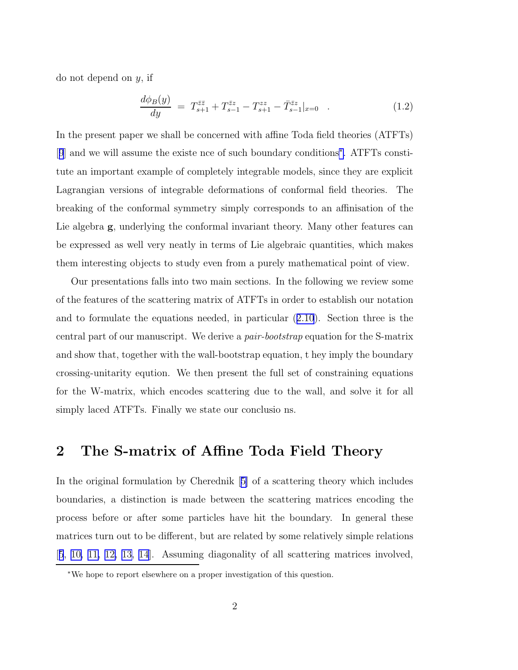<span id="page-4-0"></span>do not depend on y, if

$$
\frac{d\phi_B(y)}{dy} = T^{\bar{z}\bar{z}}_{s+1} + T^{\bar{z}z}_{s-1} - T^{zz}_{s+1} - \bar{T}^{\bar{z}z}_{s-1}|_{x=0} \quad . \tag{1.2}
$$

In the present paper we shall be concerned with affine Toda field theories (ATFTs) [[9](#page-21-0)] and we will assume the existe nce of such boundary conditions<sup>∗</sup> . ATFTs constitute an important example of completely integrable models, since they are explicit Lagrangian versions of integrable deformations of conformal field theories. The breaking of the conformal symmetry simply corresponds to an affinisation of the Lie algebra **g**, underlying the conformal invariant theory. Many other features can be expressed as well very neatly in terms of Lie algebraic quantities, which makes them interesting objects to study even from a purely mathematical point of view.

Our presentations falls into two main sections. In the following we review some of the features of the scattering matrix of ATFTs in order to establish our notation and to formulate the equations needed, in particular ([2.10](#page-7-0)). Section three is the central part of our manuscript. We derive a *pair-bootstrap* equation for the S-matrix and show that, together with the wall-bootstrap equation, t hey imply the boundary crossing-unitarity eqution. We then present the full set of constraining equations for the W-matrix, which encodes scattering due to the wall, and solve it for all simply laced ATFTs. Finally we state our conclusio ns.

#### 2 The S-matrix of Affine Toda Field Theory

In the original formulation by Cherednik[[5\]](#page-20-0) of a scattering theory which includes boundaries, a distinction is made between the scattering matrices encoding the process before or after some particles have hit the boundary. In general these matrices turn out to be different, but are related by some relatively simple relations [[5](#page-20-0), [10, 11, 12, 13, 14\]](#page-21-0). Assuming diagonality of all scattering matrices involved,

<sup>∗</sup>We hope to report elsewhere on a proper investigation of this question.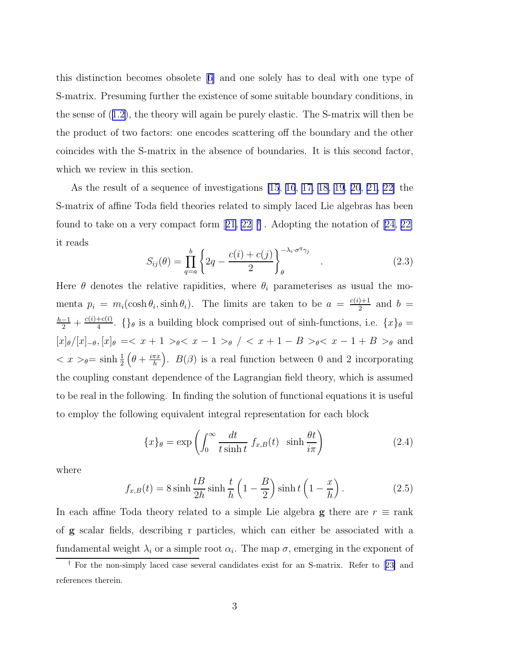<span id="page-5-0"></span>this distinction becomes obsolete[[6\]](#page-20-0) and one solely has to deal with one type of S-matrix. Presuming further the existence of some suitable boundary conditions, in the sense of ([1.2\)](#page-4-0), the theory will again be purely elastic. The S-matrix will then be the product of two factors: one encodes scattering off the boundary and the other coincides with the S-matrix in the absence of boundaries. It is this second factor, which we review in this section.

As the result of a sequence of investigations [\[15](#page-21-0), [16](#page-21-0), [17, 18](#page-22-0), [19](#page-22-0), [20](#page-22-0), [21, 22\]](#page-22-0) the S-matrix of affine Toda field theories related to simply laced Lie algebras has been foundto take on a very compact form  $[21, 22]$  $[21, 22]$  $[21, 22]$ <sup>†</sup>. Adopting the notation of  $[24, 22]$ it reads

$$
S_{ij}(\theta) = \prod_{q=a}^{b} \left\{ 2q - \frac{c(i) + c(j)}{2} \right\}_{\theta}^{-\lambda_i \cdot \sigma^q \gamma_j} \quad . \tag{2.3}
$$

Here  $\theta$  denotes the relative rapidities, where  $\theta_i$  parameterises as usual the momenta  $p_i = m_i(\cosh \theta_i, \sinh \theta_i)$ . The limits are taken to be  $a = \frac{c(i+1)}{2}$  $\frac{1}{2}$  and  $b =$  $\frac{h-1}{2}+\frac{c(i)+c(\bar{\imath})}{4}$  $\frac{+c(t)}{4}$ . { $\}$ <sup>*i*</sup> is a building block comprised out of sinh-functions, i.e.  $\{x\}$ <sup>*i*</sup> =  $[x]_{\theta}/[x]_{-\theta}, [x]_{\theta} = < x + 1 >_{\theta} < x - 1 >_{\theta} / < x + 1 - B >_{\theta} < x - 1 + B >_{\theta}$  and  $\langle x \rangle = \sinh \frac{1}{2} \left( \theta + \frac{i \pi x}{h} \right)$  $\left(\frac{\pi x}{h}\right)$ .  $B(\beta)$  is a real function between 0 and 2 incorporating the coupling constant dependence of the Lagrangian field theory, which is assumed to be real in the following. In finding the solution of functional equations it is useful to employ the following equivalent integral representation for each block

$$
\{x\}_{\theta} = \exp\left(\int_0^\infty \frac{dt}{t \sinh t} f_{x,B}(t) \sinh\frac{\theta t}{i\pi}\right) \tag{2.4}
$$

where

$$
f_{x,B}(t) = 8\sinh\frac{t}{2h}\sinh\frac{t}{h}\left(1 - \frac{B}{2}\right)\sinh t\left(1 - \frac{x}{h}\right). \tag{2.5}
$$

In each affine Toda theory related to a simple Lie algebra g there are  $r \equiv \text{rank}$ of g scalar fields, describing r particles, which can either be associated with a fundamental weight  $\lambda_i$  or a simple root  $\alpha_i$ . The map  $\sigma$ , emerging in the exponent of

<sup>†</sup> For the non-simply laced case several candidates exist for an S-matrix. Refer to[[23\]](#page-22-0) and references therein.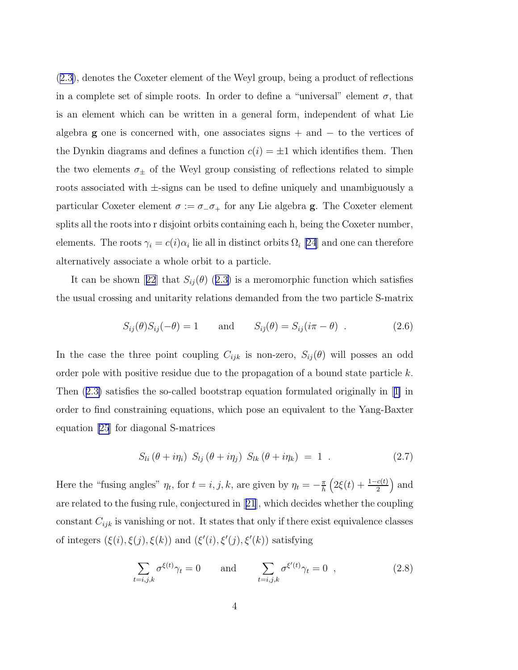<span id="page-6-0"></span>([2.3\)](#page-5-0), denotes the Coxeter element of the Weyl group, being a product of reflections in a complete set of simple roots. In order to define a "universal" element  $\sigma$ , that is an element which can be written in a general form, independent of what Lie algebra **g** one is concerned with, one associates signs  $+$  and  $-$  to the vertices of the Dynkin diagrams and defines a function  $c(i) = \pm 1$  which identifies them. Then the two elements  $\sigma_{\pm}$  of the Weyl group consisting of reflections related to simple roots associated with ±-signs can be used to define uniquely and unambiguously a particular Coxeter element  $\sigma := \sigma_-\sigma_+$  for any Lie algebra **g**. The Coxeter element splits all the roots into r disjoint orbits containing each h, being the Coxeter number, elements. The roots  $\gamma_i = c(i)\alpha_i$  lie all in distinct orbits  $\Omega_i$  [\[24](#page-22-0)] and one can therefore alternatively associate a whole orbit to a particle.

Itcan be shown [[22](#page-22-0)] that  $S_{ij}(\theta)$  ([2.3\)](#page-5-0) is a meromorphic function which satisfies the usual crossing and unitarity relations demanded from the two particle S-matrix

$$
S_{ij}(\theta)S_{ij}(-\theta) = 1 \quad \text{and} \quad S_{i\bar{j}}(\theta) = S_{ij}(i\pi - \theta) \quad . \tag{2.6}
$$

In the case the three point coupling  $C_{ijk}$  is non-zero,  $S_{ij}(\theta)$  will posses an odd order pole with positive residue due to the propagation of a bound state particle  $k$ . Then ([2.3\)](#page-5-0) satisfies the so-called bootstrap equation formulated originally in[[1\]](#page-20-0) in order to find constraining equations, which pose an equivalent to the Yang-Baxter equation [\[25](#page-22-0)] for diagonal S-matrices

$$
S_{li}(\theta + i\eta_i) S_{lj}(\theta + i\eta_j) S_{lk}(\theta + i\eta_k) = 1 . \qquad (2.7)
$$

Here the "fusing angles"  $\eta_t$ , for  $t = i, j, k$ , are given by  $\eta_t = -\frac{\pi}{h}$  $\frac{\pi}{h}\left(2\xi(t) + \frac{1-c(t)}{2}\right)$  and are related to the fusing rule, conjectured in[[21](#page-22-0)], which decides whether the coupling constant  $C_{ijk}$  is vanishing or not. It states that only if there exist equivalence classes of integers  $(\xi(i), \xi(j), \xi(k))$  and  $(\xi'(i), \xi'(j), \xi'(k))$  satisfying

$$
\sum_{t=i,j,k} \sigma^{\xi(t)} \gamma_t = 0 \quad \text{and} \quad \sum_{t=i,j,k} \sigma^{\xi'(t)} \gamma_t = 0 \quad , \tag{2.8}
$$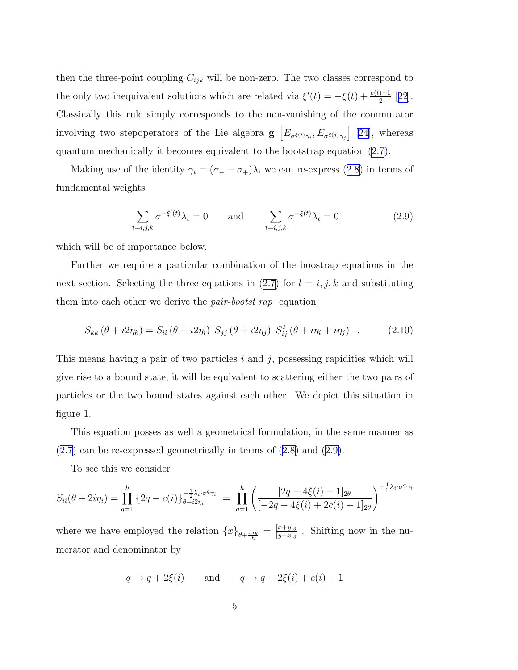<span id="page-7-0"></span>then the three-point coupling  $C_{ijk}$  will be non-zero. The two classes correspond to the only two inequivalent solutions which are related via  $\xi'(t) = -\xi(t) + \frac{c(t)-1}{2}$  [[22](#page-22-0)]. Classically this rule simply corresponds to the non-vanishing of the commutator involving two stepoperators of the Lie algebra  $g\left[E_{\sigma^{(\ell)}}\gamma_i, E_{\sigma^{(\ell)}}\gamma_j\right]$  [[24\]](#page-22-0), whereas quantum mechanically it becomes equivalent to the bootstrap equation [\(2.7](#page-6-0)).

Making use of the identity  $\gamma_i = (\sigma_- - \sigma_+) \lambda_i$  we can re-express ([2.8\)](#page-6-0) in terms of fundamental weights

$$
\sum_{t=i,j,k} \sigma^{-\xi'(t)} \lambda_t = 0 \quad \text{and} \quad \sum_{t=i,j,k} \sigma^{-\xi(t)} \lambda_t = 0 \tag{2.9}
$$

which will be of importance below.

Further we require a particular combination of the boostrap equations in the next section. Selecting the three equations in ([2.7\)](#page-6-0) for  $l = i, j, k$  and substituting them into each other we derive the *pair-bootst rap* equation

$$
S_{kk}(\theta + i2\eta_k) = S_{ii}(\theta + i2\eta_i) S_{jj}(\theta + i2\eta_j) S_{ij}^2(\theta + i\eta_i + i\eta_j) . \qquad (2.10)
$$

This means having a pair of two particles  $i$  and  $j$ , possessing rapidities which will give rise to a bound state, it will be equivalent to scattering either the two pairs of particles or the two bound states against each other. We depict this situation in figure 1.

This equation posses as well a geometrical formulation, in the same manner as ([2.7\)](#page-6-0) can be re-expressed geometrically in terms of ([2.8\)](#page-6-0) and (2.9).

To see this we consider

$$
S_{ii}(\theta + 2i\eta_i) = \prod_{q=1}^h \left\{ 2q - c(i) \right\}_{\theta + i2\eta_i}^{-\frac{1}{2}\lambda_i \cdot \sigma^q \gamma_i} = \prod_{q=1}^h \left( \frac{[2q - 4\xi(i) - 1]_{2\theta}}{[-2q - 4\xi(i) + 2c(i) - 1]_{2\theta}} \right)^{-\frac{1}{2}\lambda_i \cdot \sigma^q \gamma_i}
$$

where we have employed the relation  $\{x\}_{\theta+\frac{\pi iy}{h}} = \frac{[x+y]_{\theta}}{[y-x]_{\theta}}$  $\frac{[x+y]_\theta}{[y-x]_\theta}$ . Shifting now in the numerator and denominator by

$$
q \rightarrow q + 2\xi(i)
$$
 and  $q \rightarrow q - 2\xi(i) + c(i) - 1$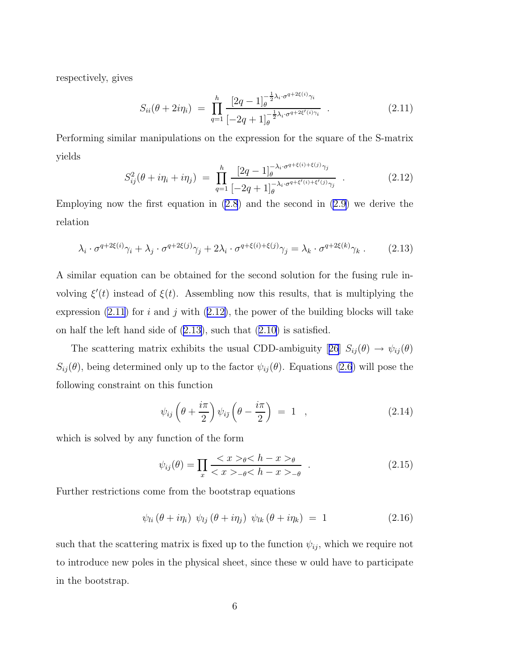<span id="page-8-0"></span>respectively, gives

$$
S_{ii}(\theta + 2i\eta_i) = \prod_{q=1}^{h} \frac{[2q-1]_{\theta}^{-\frac{1}{2}\lambda_i \cdot \sigma^{q+2\xi(i)}\gamma_i}}{[-2q+1]_{\theta}^{-\frac{1}{2}\lambda_i \cdot \sigma^{q+2\xi'(i)}\gamma_i}} .
$$
 (2.11)

Performing similar manipulations on the expression for the square of the S-matrix yields  $\frac{1}{2}$ 

$$
S_{ij}^{2}(\theta + i\eta_{i} + i\eta_{j}) = \prod_{q=1}^{h} \frac{[2q-1]_{\theta}^{-\lambda_{i} \cdot \sigma^{q+\xi(i)+\xi(j)}\gamma_{j}}}{[-2q+1]_{\theta}^{-\lambda_{i} \cdot \sigma^{q+\xi'(i)+\xi'(j)}\gamma_{j}}}.
$$
 (2.12)

Employing now the first equation in [\(2.8](#page-6-0)) and the second in [\(2.9](#page-7-0)) we derive the relation

$$
\lambda_i \cdot \sigma^{q+2\xi(i)} \gamma_i + \lambda_j \cdot \sigma^{q+2\xi(j)} \gamma_j + 2\lambda_i \cdot \sigma^{q+\xi(i)+\xi(j)} \gamma_j = \lambda_k \cdot \sigma^{q+2\xi(k)} \gamma_k \ . \tag{2.13}
$$

A similar equation can be obtained for the second solution for the fusing rule involving  $\xi'(t)$  instead of  $\xi(t)$ . Assembling now this results, that is multiplying the expression  $(2.11)$  for i and j with  $(2.12)$ , the power of the building blocks will take on half the left hand side of (2.13), such that ([2.10\)](#page-7-0) is satisfied.

Thescattering matrix exhibits the usual CDD-ambiguity [[26](#page-22-0)]  $S_{ij}(\theta) \rightarrow \psi_{ij}(\theta)$  $S_{ij}(\theta)$ , being determined only up to the factor  $\psi_{ij}(\theta)$ . Equations [\(2.6](#page-6-0)) will pose the following constraint on this function

$$
\psi_{ij}\left(\theta + \frac{i\pi}{2}\right)\psi_{i\bar{j}}\left(\theta - \frac{i\pi}{2}\right) = 1 \quad , \tag{2.14}
$$

which is solved by any function of the form

$$
\psi_{ij}(\theta) = \prod_{x} \frac{_{\theta} < h - x>_{\theta}}{_{-\theta} < h - x>_{-\theta}} \tag{2.15}
$$

Further restrictions come from the bootstrap equations

$$
\psi_{li}(\theta + i\eta_i) \psi_{lj}(\theta + i\eta_j) \psi_{lk}(\theta + i\eta_k) = 1 \qquad (2.16)
$$

such that the scattering matrix is fixed up to the function  $\psi_{ij}$ , which we require not to introduce new poles in the physical sheet, since these w ould have to participate in the bootstrap.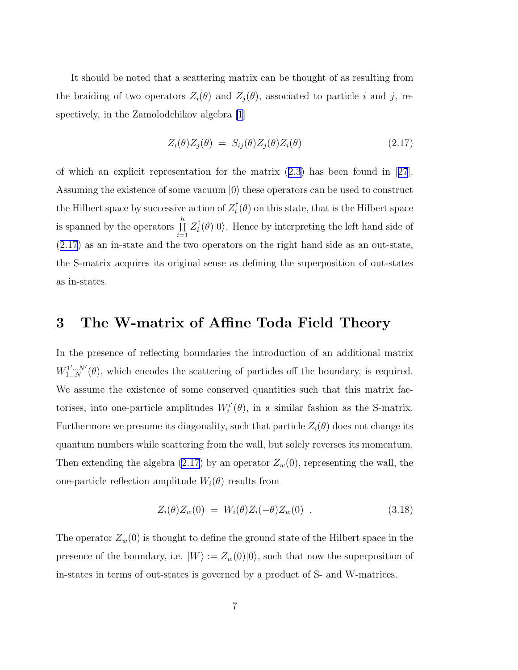<span id="page-9-0"></span>It should be noted that a scattering matrix can be thought of as resulting from the braiding of two operators  $Z_i(\theta)$  and  $Z_j(\theta)$ , associated to particle i and j, respectively, in the Zamolodchikov algebra [\[1](#page-20-0)]

$$
Z_i(\theta)Z_j(\theta) = S_{ij}(\theta)Z_j(\theta)Z_i(\theta)
$$
\n(2.17)

of which an explicit representation for the matrix ([2.3\)](#page-5-0) has been found in[[27](#page-22-0)]. Assuming the existence of some vacuum  $|0\rangle$  these operators can be used to construct the Hilbert space by successive action of  $Z_i^{\dagger}$  $i(\theta)$  on this state, that is the Hilbert space is spanned by the operators  $\prod^h$  $\prod\limits_{i=1}^n Z_i^\dagger$  $i(\theta)|0\rangle$ . Hence by interpreting the left hand side of (2.17) as an in-state and the two operators on the right hand side as an out-state, the S-matrix acquires its original sense as defining the superposition of out-states as in-states.

#### 3 The W-matrix of Affine Toda Field Theory

In the presence of reflecting boundaries the introduction of an additional matrix  $W_1^{1'...N'}(\theta)$ , which encodes the scattering of particles off the boundary, is required. We assume the existence of some conserved quantities such that this matrix factorises, into one-particle amplitudes  $W_i^{i'}$  $\mathbf{F}_i^{i'}(\theta)$ , in a similar fashion as the S-matrix. Furthermore we presume its diagonality, such that particle  $Z_i(\theta)$  does not change its quantum numbers while scattering from the wall, but solely reverses its momentum. Then extending the algebra (2.17) by an operator  $Z_w(0)$ , representing the wall, the one-particle reflection amplitude  $W_i(\theta)$  results from

$$
Z_i(\theta)Z_w(0) = W_i(\theta)Z_i(-\theta)Z_w(0) . \qquad (3.18)
$$

The operator  $Z_w(0)$  is thought to define the ground state of the Hilbert space in the presence of the boundary, i.e.  $|W\rangle := Z_w(0)|0\rangle$ , such that now the superposition of in-states in terms of out-states is governed by a product of S- and W-matrices.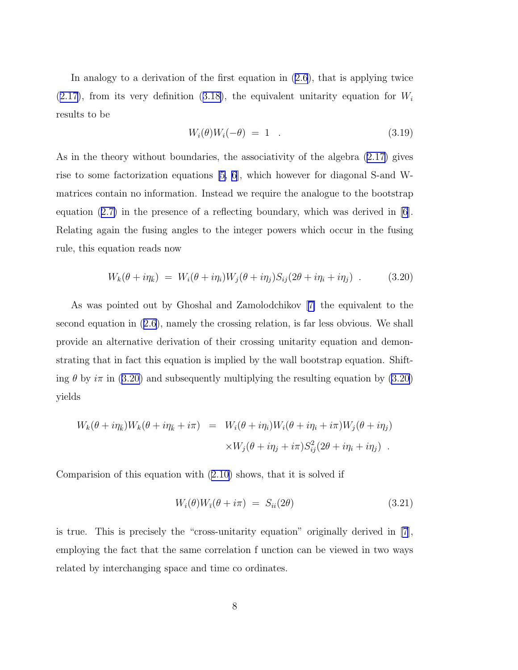<span id="page-10-0"></span>In analogy to a derivation of the first equation in ([2.6\)](#page-6-0), that is applying twice  $(2.17)$  $(2.17)$ , from its very definition  $(3.18)$  $(3.18)$ , the equivalent unitarity equation for  $W_i$ results to be

$$
W_i(\theta)W_i(-\theta) = 1 \t\t(3.19)
$$

As in the theory without boundaries, the associativity of the algebra [\(2.17\)](#page-9-0) gives rise to some factorization equations  $[5, 6]$ , which however for diagonal S-and Wmatrices contain no information. Instead we require the analogue to the bootstrap equation  $(2.7)$  $(2.7)$  in the presence of a reflecting boundary, which was derived in [\[6](#page-20-0)]. Relating again the fusing angles to the integer powers which occur in the fusing rule, this equation reads now

$$
W_k(\theta + i\eta_{\bar{k}}) = W_i(\theta + i\eta_i)W_j(\theta + i\eta_j)S_{ij}(2\theta + i\eta_i + i\eta_j) \tag{3.20}
$$

As was pointed out by Ghoshal and Zamolodchikov[[7\]](#page-20-0) the equivalent to the second equation in ([2.6\)](#page-6-0), namely the crossing relation, is far less obvious. We shall provide an alternative derivation of their crossing unitarity equation and demonstrating that in fact this equation is implied by the wall bootstrap equation. Shifting  $\theta$  by  $i\pi$  in (3.20) and subsequently multiplying the resulting equation by (3.20) yields

$$
W_k(\theta + i\eta_{\bar{k}})W_k(\theta + i\eta_{\bar{k}} + i\pi) = W_i(\theta + i\eta_i)W_i(\theta + i\eta_i + i\pi)W_j(\theta + i\eta_j)
$$
  

$$
\times W_j(\theta + i\eta_j + i\pi)S_{ij}^2(2\theta + i\eta_i + i\eta_j) .
$$

Comparision of this equation with ([2.10\)](#page-7-0) shows, that it is solved if

$$
W_i(\theta)W_{\bar{i}}(\theta + i\pi) = S_{ii}(2\theta) \tag{3.21}
$$

is true. This is precisely the "cross-unitarity equation" originally derived in [\[7](#page-20-0)], employing the fact that the same correlation f unction can be viewed in two ways related by interchanging space and time co ordinates.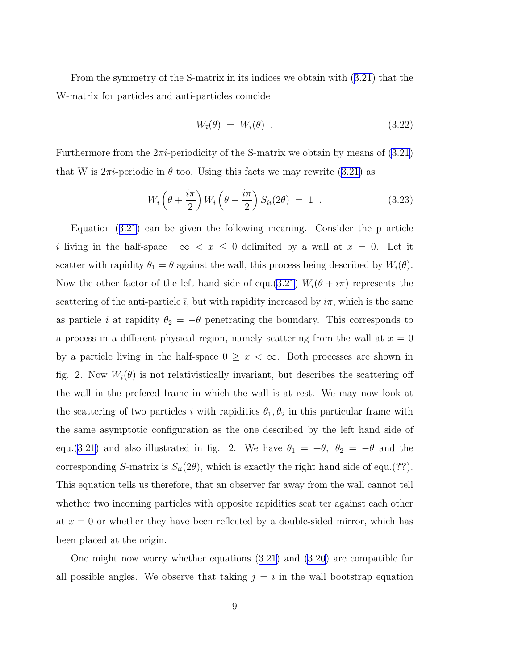<span id="page-11-0"></span>From the symmetry of the S-matrix in its indices we obtain with ([3.21\)](#page-10-0) that the W-matrix for particles and anti-particles coincide

$$
W_{\bar{i}}(\theta) = W_i(\theta) \tag{3.22}
$$

Furthermore from the  $2\pi i$ -periodicity of the S-matrix we obtain by means of  $(3.21)$  $(3.21)$ that W is  $2\pi i$ -periodic in  $\theta$  too. Using this facts we may rewrite ([3.21\)](#page-10-0) as

$$
W_{\bar{i}}\left(\theta + \frac{i\pi}{2}\right)W_i\left(\theta - \frac{i\pi}{2}\right)S_{i\bar{i}}(2\theta) = 1.
$$
 (3.23)

Equation ([3.21](#page-10-0)) can be given the following meaning. Consider the p article i living in the half-space  $-\infty < x \leq 0$  delimited by a wall at  $x = 0$ . Let it scatter with rapidity  $\theta_1 = \theta$  against the wall, this process being described by  $W_i(\theta)$ . Now the other factor of the left hand side of equ.[\(3.21](#page-10-0))  $W_{\bar{i}}(\theta + i\pi)$  represents the scattering of the anti-particle  $\bar{\imath}$ , but with rapidity increased by  $i\pi$ , which is the same as particle *i* at rapidity  $\theta_2 = -\theta$  penetrating the boundary. This corresponds to a process in a different physical region, namely scattering from the wall at  $x = 0$ by a particle living in the half-space  $0 \geq x < \infty$ . Both processes are shown in fig. 2. Now  $W_i(\theta)$  is not relativistically invariant, but describes the scattering off the wall in the prefered frame in which the wall is at rest. We may now look at the scattering of two particles i with rapidities  $\theta_1, \theta_2$  in this particular frame with the same asymptotic configuration as the one described by the left hand side of equ.([3.21\)](#page-10-0) and also illustrated in fig. 2. We have  $\theta_1 = +\theta$ ,  $\theta_2 = -\theta$  and the corresponding S-matrix is  $S_{ii}(2\theta)$ , which is exactly the right hand side of equ.(??). This equation tells us therefore, that an observer far away from the wall cannot tell whether two incoming particles with opposite rapidities scat ter against each other at  $x = 0$  or whether they have been reflected by a double-sided mirror, which has been placed at the origin.

One might now worry whether equations ([3.21\)](#page-10-0) and [\(3.20\)](#page-10-0) are compatible for all possible angles. We observe that taking  $j = \overline{i}$  in the wall bootstrap equation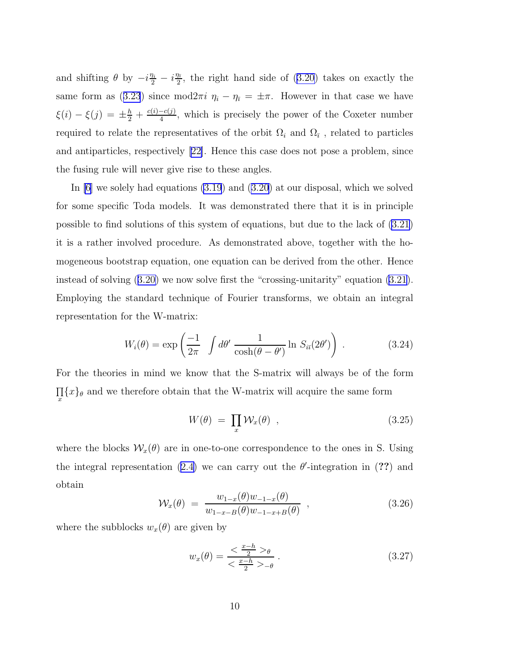<span id="page-12-0"></span>and shifting  $\theta$  by  $-i\frac{\eta_i}{2} - i\frac{\eta_i}{2}$  $\frac{\pi}{2}$ , the right hand side of [\(3.20\)](#page-10-0) takes on exactly the same form as ([3.23](#page-11-0)) since mod $2\pi i \eta_i - \eta_{\bar{i}} = \pm \pi$ . However in that case we have  $\xi(i) - \xi(j) = \pm \frac{h}{2} + \frac{c(i) - c(j)}{4}$  $\frac{-c(j)}{4}$ , which is precisely the power of the Coxeter number required to relate the representatives of the orbit  $\Omega_i$  and  $\Omega_{\bar{i}}$ , related to particles and antiparticles, respectively [\[22\]](#page-22-0). Hence this case does not pose a problem, since the fusing rule will never give rise to these angles.

In [\[6](#page-20-0)] we solely had equations [\(3.19](#page-10-0)) and [\(3.20\)](#page-10-0) at our disposal, which we solved for some specific Toda models. It was demonstrated there that it is in principle possible to find solutions of this system of equations, but due to the lack of [\(3.21](#page-10-0)) it is a rather involved procedure. As demonstrated above, together with the homogeneous bootstrap equation, one equation can be derived from the other. Hence instead of solving ([3.20\)](#page-10-0) we now solve first the "crossing-unitarity" equation [\(3.21](#page-10-0)). Employing the standard technique of Fourier transforms, we obtain an integral representation for the W-matrix:

$$
W_i(\theta) = \exp\left(\frac{-1}{2\pi} \int d\theta' \frac{1}{\cosh(\theta - \theta')} \ln S_{i\bar{\imath}}(2\theta')\right) . \tag{3.24}
$$

For the theories in mind we know that the S-matrix will always be of the form  $\prod_{x} \{x\}_{\theta}$  and we therefore obtain that the W-matrix will acquire the same form

$$
W(\theta) = \prod_{x} \mathcal{W}_x(\theta) , \qquad (3.25)
$$

where the blocks  $\mathcal{W}_x(\theta)$  are in one-to-one correspondence to the ones in S. Using the integral representation ([2.4\)](#page-5-0) we can carry out the  $\theta'$ -integration in (??) and obtain

$$
\mathcal{W}_x(\theta) = \frac{w_{1-x}(\theta)w_{-1-x}(\theta)}{w_{1-x-B}(\theta)w_{-1-x+B}(\theta)}, \qquad (3.26)
$$

where the subblocks  $w_x(\theta)$  are given by

$$
w_x(\theta) = \frac{<\frac{x-h}{2}>_{\theta}}{<\frac{x-h}{2}>_{-\theta}}.
$$
\n(3.27)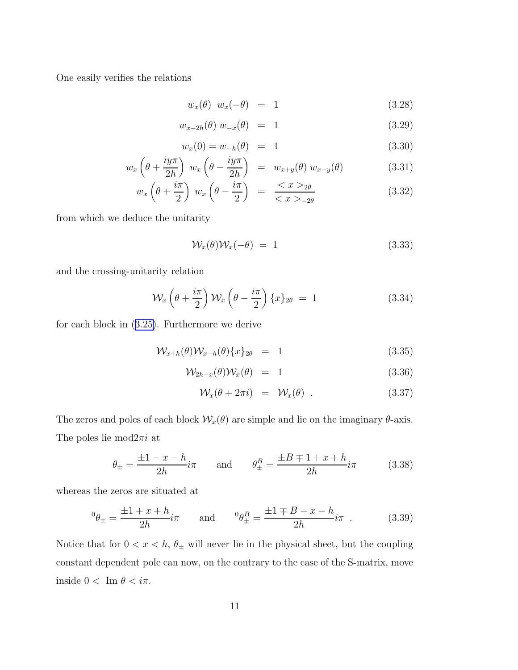<span id="page-13-0"></span>One easily verifies the relations

$$
w_x(\theta) w_x(-\theta) = 1 \qquad (3.28)
$$

$$
w_{x-2h}(\theta) w_{-x}(\theta) = 1 \tag{3.29}
$$

$$
w_x(0) = w_{-h}(\theta) = 1 \tag{3.30}
$$

$$
w_x \left(\theta + \frac{iy\pi}{2h}\right) w_x \left(\theta - \frac{iy\pi}{2h}\right) = w_{x+y}(\theta) w_{x-y}(\theta)
$$
 (3.31)

$$
w_x \left(\theta + \frac{i\pi}{2}\right) w_x \left(\theta - \frac{i\pi}{2}\right) = \frac{\langle x \rangle_{2\theta}}{\langle x \rangle_{-2\theta}}
$$
 (3.32)

from which we deduce the unitarity

$$
\mathcal{W}_x(\theta)\mathcal{W}_x(-\theta) = 1 \tag{3.33}
$$

and the crossing-unitarity relation

$$
\mathcal{W}_x\left(\theta + \frac{i\pi}{2}\right)\mathcal{W}_x\left(\theta - \frac{i\pi}{2}\right)\{x\}_{2\theta} = 1\tag{3.34}
$$

for each block in ([3.25\)](#page-12-0). Furthermore we derive

$$
\mathcal{W}_{x+h}(\theta)\mathcal{W}_{x-h}(\theta)\{x\}_{2\theta} = 1 \tag{3.35}
$$

$$
\mathcal{W}_{2h-x}(\theta)\mathcal{W}_x(\theta) = 1 \tag{3.36}
$$

$$
\mathcal{W}_x(\theta + 2\pi i) = \mathcal{W}_x(\theta) \tag{3.37}
$$

The zeros and poles of each block  $\mathcal{W}_x(\theta)$  are simple and lie on the imaginary  $\theta$ -axis. The poles lie mod $2\pi i$  at

$$
\theta_{\pm} = \frac{\pm 1 - x - h}{2h} i\pi
$$
 and  $\theta_{\pm}^{B} = \frac{\pm B \mp 1 + x + h}{2h} i\pi$  (3.38)

whereas the zeros are situated at

$$
{}^{0} \theta_{\pm} = \frac{\pm 1 + x + h}{2h} i\pi
$$
 and  ${}^{0} \theta_{\pm}^{B} = \frac{\pm 1 \mp B - x - h}{2h} i\pi$ . (3.39)

Notice that for  $0 < x < h$ ,  $\theta_{\pm}$  will never lie in the physical sheet, but the coupling constant dependent pole can now, on the contrary to the case of the S-matrix, move inside  $0 < \text{Im } \theta < i\pi$ .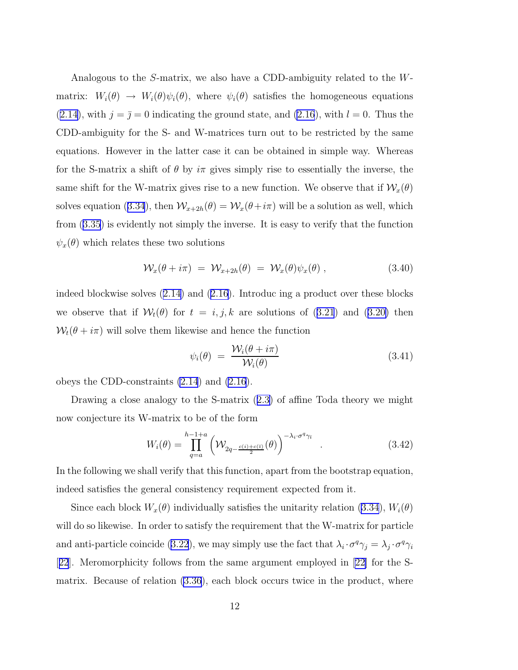<span id="page-14-0"></span>Analogous to the S-matrix, we also have a CDD-ambiguity related to the Wmatrix:  $W_i(\theta) \to W_i(\theta)\psi_i(\theta)$ , where  $\psi_i(\theta)$  satisfies the homogeneous equations  $(2.14)$  $(2.14)$ , with  $j = \overline{j} = 0$  indicating the ground state, and  $(2.16)$  $(2.16)$ , with  $l = 0$ . Thus the CDD-ambiguity for the S- and W-matrices turn out to be restricted by the same equations. However in the latter case it can be obtained in simple way. Whereas for the S-matrix a shift of  $\theta$  by  $i\pi$  gives simply rise to essentially the inverse, the same shift for the W-matrix gives rise to a new function. We observe that if  $\mathcal{W}_x(\theta)$ solves equation ([3.34](#page-13-0)), then  $W_{x+2h}(\theta) = W_x(\theta + i\pi)$  will be a solution as well, which from [\(3.35\)](#page-13-0) is evidently not simply the inverse. It is easy to verify that the function  $\psi_x(\theta)$  which relates these two solutions

$$
\mathcal{W}_x(\theta + i\pi) = \mathcal{W}_{x+2h}(\theta) = \mathcal{W}_x(\theta)\psi_x(\theta) , \qquad (3.40)
$$

indeed blockwise solves ([2.14\)](#page-8-0) and [\(2.16\)](#page-8-0). Introduc ing a product over these blocks we observe that if  $W_t(\theta)$  for  $t = i, j, k$  are solutions of  $(3.21)$  $(3.21)$  $(3.21)$  and  $(3.20)$  $(3.20)$  then  $W_t(\theta + i\pi)$  will solve them likewise and hence the function

$$
\psi_i(\theta) = \frac{\mathcal{W}_i(\theta + i\pi)}{\mathcal{W}_i(\theta)} \tag{3.41}
$$

obeys the CDD-constraints [\(2.14](#page-8-0)) and [\(2.16](#page-8-0)).

Drawing a close analogy to the S-matrix ([2.3\)](#page-5-0) of affine Toda theory we might now conjecture its W-matrix to be of the form

$$
W_i(\theta) = \prod_{q=a}^{h-1+a} \left( \mathcal{W}_{2q-\frac{c(i)+c(\bar{\imath})}{2}}(\theta) \right)^{-\lambda_i \cdot \sigma^q \gamma_{\bar{\imath}}} . \tag{3.42}
$$

In the following we shall verify that this function, apart from the bootstrap equation, indeed satisfies the general consistency requirement expected from it.

Since each block  $W_x(\theta)$  individually satisfies the unitarity relation [\(3.34](#page-13-0)),  $W_i(\theta)$ will do so likewise. In order to satisfy the requirement that the W-matrix for particle and anti-particle coincide [\(3.22](#page-11-0)), we may simply use the fact that  $\lambda_i \cdot \sigma^q \gamma_j = \lambda_j \cdot \sigma^q \gamma_i$ [[22](#page-22-0)]. Meromorphicity follows from the same argument employed in [\[22\]](#page-22-0) for the Smatrix. Because of relation [\(3.36](#page-13-0)), each block occurs twice in the product, where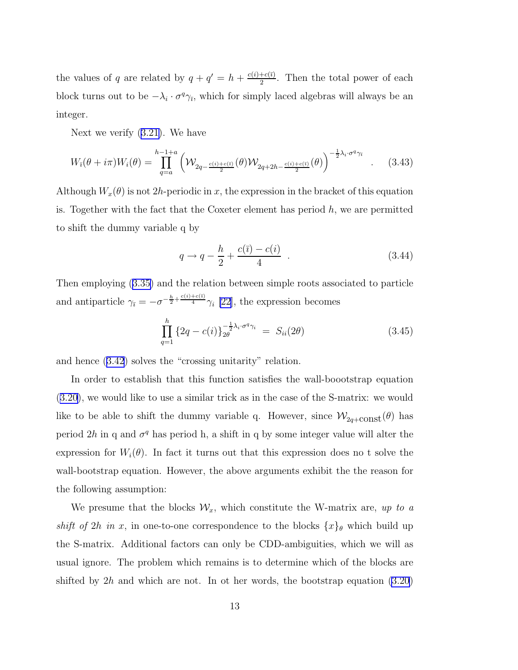the values of q are related by  $q + q' = h + \frac{c(i) + c(\bar{i})}{2}$  $\frac{+c(i)}{2}$ . Then the total power of each block turns out to be  $-\lambda_i \cdot \sigma^q \gamma_{\bar{\imath}}$ , which for simply laced algebras will always be an integer.

Next we verify ([3.21\)](#page-10-0). We have

$$
W_{\bar{i}}(\theta + i\pi)W_i(\theta) = \prod_{q=a}^{h-1+a} \left( \mathcal{W}_{2q-\frac{c(i)+c(\bar{i})}{2}}(\theta)\mathcal{W}_{2q+2h-\frac{c(i)+c(\bar{i})}{2}}(\theta) \right)^{-\frac{1}{2}\lambda_i \cdot \sigma^q \gamma_{\bar{i}}} \quad . \tag{3.43}
$$

Although  $W_x(\theta)$  is not 2h-periodic in x, the expression in the bracket of this equation is. Together with the fact that the Coxeter element has period  $h$ , we are permitted to shift the dummy variable q by

$$
q \to q - \frac{h}{2} + \frac{c(\bar{\imath}) - c(i)}{4} \tag{3.44}
$$

Then employing ([3.35\)](#page-13-0) and the relation between simple roots associated to particle and antiparticle  $\gamma_{\bar{i}} = -\sigma^{-\frac{h}{2} + \frac{c(i) + c(\bar{i})}{4}} \gamma_i$  [\[22\]](#page-22-0), the expression becomes

$$
\prod_{q=1}^{h} \left\{ 2q - c(i) \right\}_{2\theta}^{-\frac{1}{2}\lambda_i \cdot \sigma^q \gamma_i} = S_{ii}(2\theta) \tag{3.45}
$$

and hence [\(3.42](#page-14-0)) solves the "crossing unitarity" relation.

In order to establish that this function satisfies the wall-boootstrap equation ([3.20\)](#page-10-0), we would like to use a similar trick as in the case of the S-matrix: we would like to be able to shift the dummy variable q. However, since  $\mathcal{W}_{2q+\text{const}}(\theta)$  has period  $2h$  in q and  $\sigma^q$  has period h, a shift in q by some integer value will alter the expression for  $W_i(\theta)$ . In fact it turns out that this expression does no t solve the wall-bootstrap equation. However, the above arguments exhibit the the reason for the following assumption:

We presume that the blocks  $\mathcal{W}_x$ , which constitute the W-matrix are, up to a *shift of* 2h *in* x, in one-to-one correspondence to the blocks  $\{x\}_{\theta}$  which build up the S-matrix. Additional factors can only be CDD-ambiguities, which we will as usual ignore. The problem which remains is to determine which of the blocks are shifted by  $2h$  and which are not. In ot her words, the bootstrap equation  $(3.20)$  $(3.20)$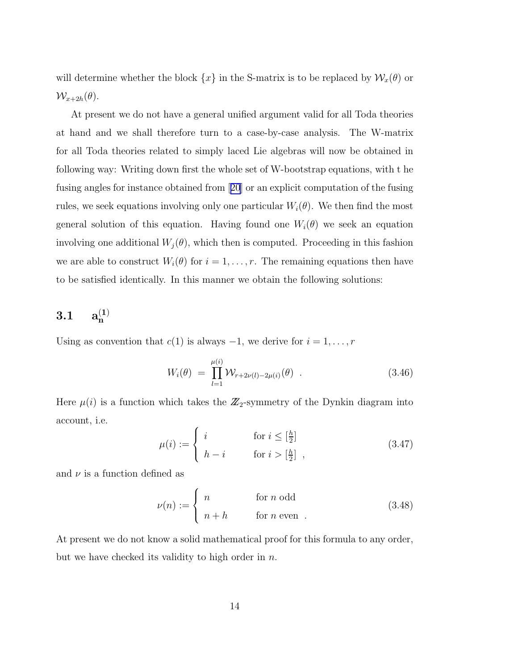will determine whether the block  $\{x\}$  in the S-matrix is to be replaced by  $\mathcal{W}_x(\theta)$  or  $\mathcal{W}_{x+2h}(\theta)$ .

At present we do not have a general unified argument valid for all Toda theories at hand and we shall therefore turn to a case-by-case analysis. The W-matrix for all Toda theories related to simply laced Lie algebras will now be obtained in following way: Writing down first the whole set of W-bootstrap equations, with t he fusing angles for instance obtained from[[20](#page-22-0)] or an explicit computation of the fusing rules, we seek equations involving only one particular  $W_i(\theta)$ . We then find the most general solution of this equation. Having found one  $W_i(\theta)$  we seek an equation involving one additional  $W_i(\theta)$ , which then is computed. Proceeding in this fashion we are able to construct  $W_i(\theta)$  for  $i = 1, \ldots, r$ . The remaining equations then have to be satisfied identically. In this manner we obtain the following solutions:

### $3.1 \qquad a_n^{(1)}$

Using as convention that  $c(1)$  is always  $-1$ , we derive for  $i = 1, \ldots, r$ 

$$
W_i(\theta) = \prod_{l=1}^{\mu(i)} \mathcal{W}_{r+2\nu(l)-2\mu(i)}(\theta) . \qquad (3.46)
$$

Here  $\mu(i)$  is a function which takes the  $\mathbb{Z}_2$ -symmetry of the Dynkin diagram into account, i.e.

$$
\mu(i) := \begin{cases} i & \text{for } i \leq \left[\frac{h}{2}\right] \\ h - i & \text{for } i > \left[\frac{h}{2}\right] \end{cases} \tag{3.47}
$$

and  $\nu$  is a function defined as

$$
\nu(n) := \begin{cases} n & \text{for } n \text{ odd} \\ n + h & \text{for } n \text{ even} \end{cases}
$$
 (3.48)

At present we do not know a solid mathematical proof for this formula to any order, but we have checked its validity to high order in  $n$ .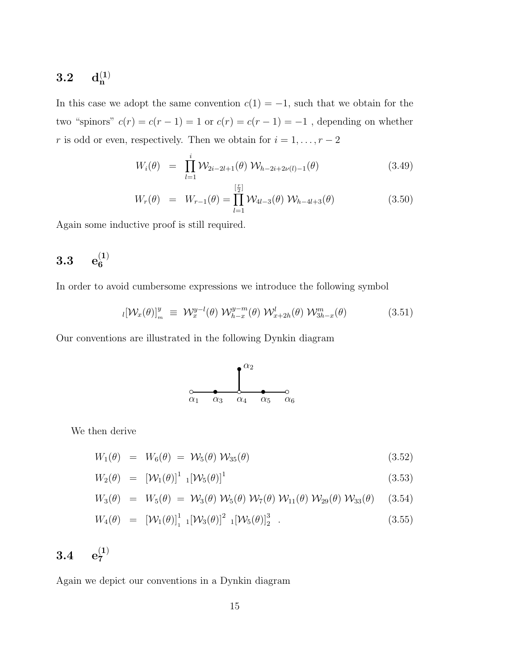### $3.2\ \ \ \ \ \mathbf{d_n^{(1)}}$

In this case we adopt the same convention  $c(1) = -1$ , such that we obtain for the two "spinors"  $c(r) = c(r - 1) = 1$  or  $c(r) = c(r - 1) = -1$ , depending on whether r is odd or even, respectively. Then we obtain for  $i = 1, \ldots, r - 2$ 

$$
W_i(\theta) = \prod_{l=1}^i \mathcal{W}_{2i-2l+1}(\theta) \mathcal{W}_{h-2i+2\nu(l)-1}(\theta)
$$
 (3.49)

$$
W_r(\theta) = W_{r-1}(\theta) = \prod_{l=1}^{\left[\frac{r}{2}\right]} W_{4l-3}(\theta) W_{h-4l+3}(\theta)
$$
 (3.50)

Again some inductive proof is still required.

## $3.3\quad \ \mathrm{e}_6^{(1)}$

In order to avoid cumbersome expressions we introduce the following symbol

$$
i[\mathcal{W}_x(\theta)]_m^y \equiv \mathcal{W}_x^{y-l}(\theta) \mathcal{W}_{h-x}^{y-m}(\theta) \mathcal{W}_{x+2h}^l(\theta) \mathcal{W}_{3h-x}^m(\theta) \qquad (3.51)
$$

Our conventions are illustrated in the following Dynkin diagram



We then derive

$$
W_1(\theta) = W_6(\theta) = \mathcal{W}_5(\theta) \mathcal{W}_{35}(\theta) \tag{3.52}
$$

$$
W_2(\theta) = \left[ \mathcal{W}_1(\theta) \right]^1 \cdot \left[ \mathcal{W}_5(\theta) \right]^1 \tag{3.53}
$$

$$
W_3(\theta) = W_5(\theta) = W_3(\theta) W_5(\theta) W_7(\theta) W_{11}(\theta) W_{29}(\theta) W_{33}(\theta)
$$
 (3.54)

$$
W_4(\theta) = \left[ \mathcal{W}_1(\theta) \right]_1^1 \left[ \mathcal{W}_3(\theta) \right]^2 \left[ \mathcal{W}_5(\theta) \right]_2^3 \tag{3.55}
$$

## $3.4\quad\,\mathrm{e}_7^{(1)}$

Again we depict our conventions in a Dynkin diagram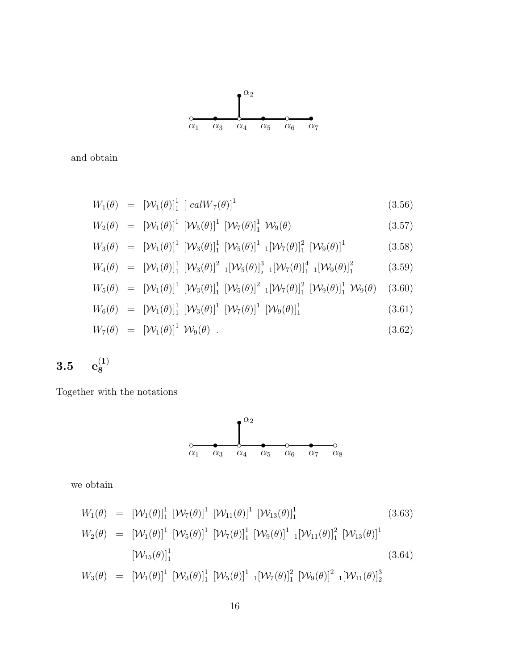$$
W_{1}(\theta) = [\mathcal{W}_{1}(\theta)]_{1}^{1} [\mathcal{W}_{7}(\theta)]^{1} [\mathcal{W}_{11}(\theta)]^{1} [\mathcal{W}_{13}(\theta)]_{1}^{1}
$$
(3.63)  

$$
W_{2}(\theta) = [\mathcal{W}_{1}(\theta)]^{1} [\mathcal{W}_{5}(\theta)]^{1} [\mathcal{W}_{7}(\theta)]_{1}^{1} [\mathcal{W}_{9}(\theta)]^{1} [ \mathcal{W}_{11}(\theta)]_{1}^{2} [\mathcal{W}_{13}(\theta)]^{1}
$$
  

$$
[\mathcal{W}_{15}(\theta)]_{1}^{1}
$$
(3.64)  

$$
W_{3}(\theta) = [\mathcal{W}_{1}(\theta)]^{1} [\mathcal{W}_{3}(\theta)]_{1}^{1} [\mathcal{W}_{5}(\theta)]^{1} [ \mathcal{W}_{7}(\theta)]_{1}^{2} [\mathcal{W}_{9}(\theta)]^{2} [ \mathcal{W}_{11}(\theta)]_{2}^{3}
$$

we obtain



$$
3.5\quad \ \ \mathbf{e}_{8}^{(1)}
$$

Together with the notations

$$
W_5(\theta) = [\mathcal{W}_1(\theta)]^1 [\mathcal{W}_3(\theta)]_1^1 [\mathcal{W}_5(\theta)]^2 1 [\mathcal{W}_7(\theta)]_1^2 [\mathcal{W}_9(\theta)]_1^1 \mathcal{W}_9(\theta)
$$
 (3.60)  

$$
W_6(\theta) = [\mathcal{W}_1(\theta)]_1^1 [\mathcal{W}_3(\theta)]^1 [\mathcal{W}_7(\theta)]^1 [\mathcal{W}_9(\theta)]_1^1
$$
 (3.61)

 $W_7(\theta) = [W_1(\theta)]^1 W_9(\theta)$ . (3.62)

$$
W_4(\theta) = [\mathcal{W}_1(\theta)]_1^1 [\mathcal{W}_3(\theta)]^2 {}_{1} [\mathcal{W}_5(\theta)]_2^3 {}_{1} [\mathcal{W}_7(\theta)]_1^4 {}_{1} [\mathcal{W}_9(\theta)]_1^2
$$
(3.59)

$$
W_3(\theta) = [\mathcal{W}_1(\theta)]^1 [\mathcal{W}_3(\theta)]_1^1 [\mathcal{W}_5(\theta)]^1 [[\mathcal{W}_7(\theta)]_1^2 [\mathcal{W}_9(\theta)]^1
$$
 (3.58)

$$
W_2(\theta) = \left[\mathcal{W}_1(\theta)\right]^1 \left[\mathcal{W}_5(\theta)\right]^1 \left[\mathcal{W}_7(\theta)\right]^1 \mathcal{W}_9(\theta) \tag{3.57}
$$

$$
W_1(\theta) = \left[ \mathcal{W}_1(\theta) \right]_1^1 \left[ \operatorname{calW}_7(\theta) \right]^1 \tag{3.56}
$$

$$
W_1(\theta) = \left[ \mathcal{W}_1(\theta) \right]_1^1 \left[ \operatorname{calW}_7(\theta) \right]^1 \tag{3.56}
$$

$$
W_1(\theta) = \left[ \mathcal{W}_1(\theta) \right]_1^1 \left[ \operatorname{calW}_7(\theta) \right]^1 \tag{3.}
$$

and obtain

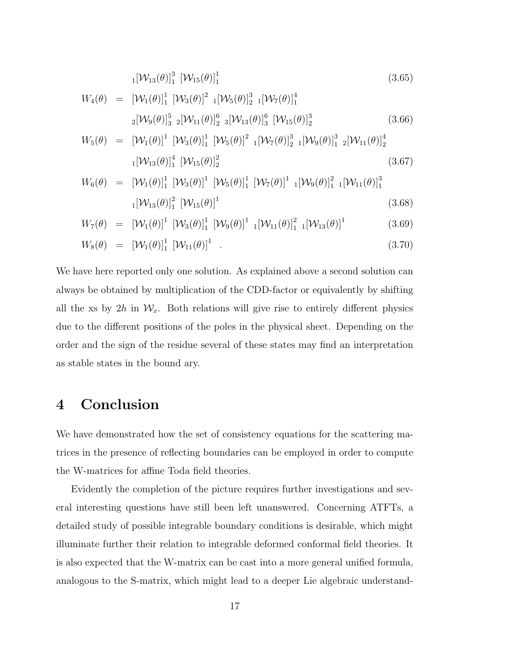$$
_{1}[\mathcal{W}_{13}(\theta)]_{1}^{3} [\mathcal{W}_{15}(\theta)]_{1}^{1} \tag{3.65}
$$

$$
W_4(\theta) = \left[ \mathcal{W}_1(\theta) \right]_1^1 \left[ \mathcal{W}_3(\theta) \right]_2^2 \left[ \mathcal{W}_5(\theta) \right]_2^3 \left[ \mathcal{W}_7(\theta) \right]_1^4
$$
  

$$
{}_{2} \left[ \mathcal{W}_9(\theta) \right]_3^5 \left[ \mathcal{W}_{11}(\theta) \right]_2^6 \left[ \mathcal{W}_{13}(\theta) \right]_3^6 \left[ \mathcal{W}_{15}(\theta) \right]_2^3 \tag{3.66}
$$

$$
W_5(\theta) = \left[ \mathcal{W}_1(\theta) \right]^1 \left[ \mathcal{W}_3(\theta) \right]_1^1 \left[ \mathcal{W}_5(\theta) \right]^2 \left[ \mathcal{W}_7(\theta) \right]_2^3 \left[ \mathcal{W}_9(\theta) \right]_1^3 \left[ \mathcal{W}_{11}(\theta) \right]_2^4
$$
  

$$
1 \left[ \mathcal{W}_{13}(\theta) \right]_1^4 \left[ \mathcal{W}_{15}(\theta) \right]_2^2 \tag{3.67}
$$

$$
W_6(\theta) = \left[ \mathcal{W}_1(\theta) \right]_1^1 \left[ \mathcal{W}_3(\theta) \right]^1 \left[ \mathcal{W}_5(\theta) \right]_1^1 \left[ \mathcal{W}_7(\theta) \right]^1 \left[ \mathcal{W}_9(\theta) \right]_1^2 \left[ \mathcal{W}_{11}(\theta) \right]_1^3
$$
  

$$
{}_1[\mathcal{W}_{13}(\theta) \right]_1^2 \left[ \mathcal{W}_{15}(\theta) \right]^1 \tag{3.68}
$$

$$
W_7(\theta) = \left[ \mathcal{W}_1(\theta) \right]^1 \left[ \mathcal{W}_3(\theta) \right]^1_1 \left[ \mathcal{W}_9(\theta) \right]^1 \left[ \mathcal{W}_{11}(\theta) \right]^2_1 \left[ \mathcal{W}_{13}(\theta) \right]^1 \tag{3.69}
$$

$$
W_8(\theta) = [\mathcal{W}_1(\theta)]_1^1 [\mathcal{W}_{11}(\theta)]^1 . \qquad (3.70)
$$

We have here reported only one solution. As explained above a second solution can always be obtained by multiplication of the CDD-factor or equivalently by shifting all the xs by  $2h$  in  $\mathcal{W}_x$ . Both relations will give rise to entirely different physics due to the different positions of the poles in the physical sheet. Depending on the order and the sign of the residue several of these states may find an interpretation as stable states in the bound ary.

### 4 Conclusion

We have demonstrated how the set of consistency equations for the scattering matrices in the presence of reflecting boundaries can be employed in order to compute the W-matrices for affine Toda field theories.

Evidently the completion of the picture requires further investigations and several interesting questions have still been left unanswered. Concerning ATFTs, a detailed study of possible integrable boundary conditions is desirable, which might illuminate further their relation to integrable deformed conformal field theories. It is also expected that the W-matrix can be cast into a more general unified formula, analogous to the S-matrix, which might lead to a deeper Lie algebraic understand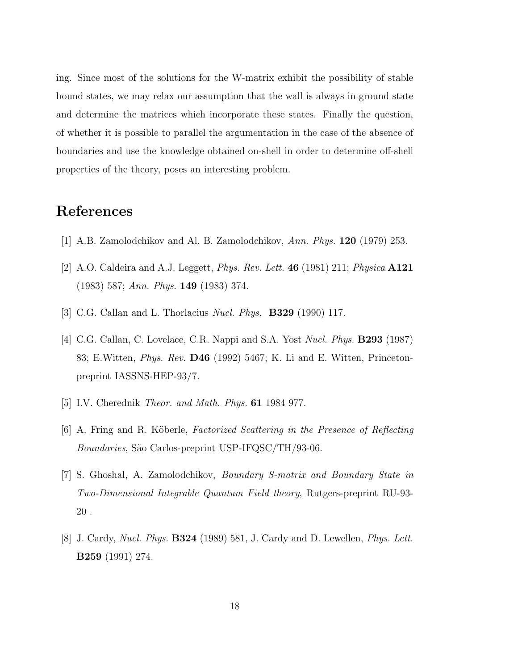<span id="page-20-0"></span>ing. Since most of the solutions for the W-matrix exhibit the possibility of stable bound states, we may relax our assumption that the wall is always in ground state and determine the matrices which incorporate these states. Finally the question, of whether it is possible to parallel the argumentation in the case of the absence of boundaries and use the knowledge obtained on-shell in order to determine off-shell properties of the theory, poses an interesting problem.

#### References

- [1] A.B. Zamolodchikov and Al. B. Zamolodchikov, *Ann. Phys.* 120 (1979) 253.
- [2] A.O. Caldeira and A.J. Leggett, *Phys. Rev. Lett.* 46 (1981) 211; *Physica* A121 (1983) 587; *Ann. Phys.* 149 (1983) 374.
- [3] C.G. Callan and L. Thorlacius *Nucl. Phys.* B329 (1990) 117.
- [4] C.G. Callan, C. Lovelace, C.R. Nappi and S.A. Yost *Nucl. Phys.* B293 (1987) 83; E.Witten, *Phys. Rev.* D46 (1992) 5467; K. Li and E. Witten, Princetonpreprint IASSNS-HEP-93/7.
- [5] I.V. Cherednik *Theor. and Math. Phys.* 61 1984 977.
- [6] A. Fring and R. K¨oberle, *Factorized Scattering in the Presence of Reflecting Boundaries*, São Carlos-preprint USP-IFQSC/TH/93-06.
- [7] S. Ghoshal, A. Zamolodchikov, *Boundary S-matrix and Boundary State in Two-Dimensional Integrable Quantum Field theory*, Rutgers-preprint RU-93- 20 .
- [8] J. Cardy, *Nucl. Phys.* B324 (1989) 581, J. Cardy and D. Lewellen, *Phys. Lett.* B259 (1991) 274.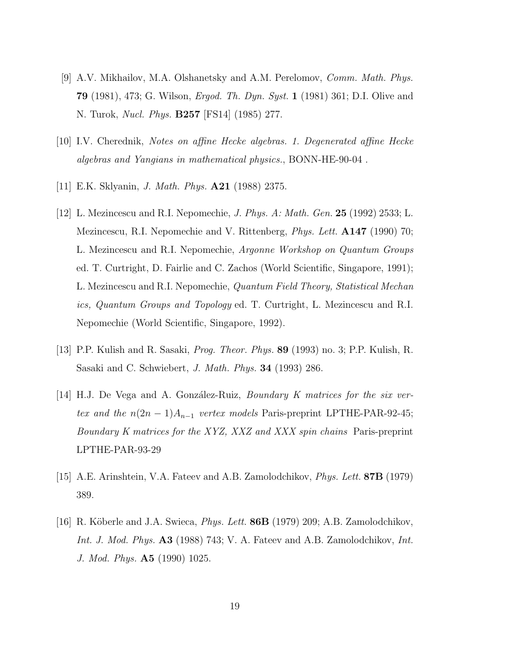- <span id="page-21-0"></span>[9] A.V. Mikhailov, M.A. Olshanetsky and A.M. Perelomov, *Comm. Math. Phys.* 79 (1981), 473; G. Wilson, *Ergod. Th. Dyn. Syst.* 1 (1981) 361; D.I. Olive and N. Turok, *Nucl. Phys.* B257 [FS14] (1985) 277.
- [10] I.V. Cherednik, *Notes on affine Hecke algebras. 1. Degenerated affine Hecke algebras and Yangians in mathematical physics.*, BONN-HE-90-04 .
- [11] E.K. Sklyanin, *J. Math. Phys.* A21 (1988) 2375.
- [12] L. Mezincescu and R.I. Nepomechie, *J. Phys. A: Math. Gen.* 25 (1992) 2533; L. Mezincescu, R.I. Nepomechie and V. Rittenberg, *Phys. Lett.* A147 (1990) 70; L. Mezincescu and R.I. Nepomechie, *Argonne Workshop on Quantum Groups* ed. T. Curtright, D. Fairlie and C. Zachos (World Scientific, Singapore, 1991); L. Mezincescu and R.I. Nepomechie, *Quantum Field Theory, Statistical Mechan ics, Quantum Groups and Topology* ed. T. Curtright, L. Mezincescu and R.I. Nepomechie (World Scientific, Singapore, 1992).
- [13] P.P. Kulish and R. Sasaki, *Prog. Theor. Phys.* 89 (1993) no. 3; P.P. Kulish, R. Sasaki and C. Schwiebert, *J. Math. Phys.* 34 (1993) 286.
- [14] H.J. De Vega and A. Gonz´alez-Ruiz, *Boundary K matrices for the six vertex and the*  $n(2n-1)A_{n-1}$  *vertex models* Paris-preprint LPTHE-PAR-92-45; *Boundary K matrices for the XYZ, XXZ and XXX spin chains* Paris-preprint LPTHE-PAR-93-29
- [15] A.E. Arinshtein, V.A. Fateev and A.B. Zamolodchikov, *Phys. Lett.* 87B (1979) 389.
- [16] R. K¨oberle and J.A. Swieca, *Phys. Lett.* 86B (1979) 209; A.B. Zamolodchikov, *Int. J. Mod. Phys.* A3 (1988) 743; V. A. Fateev and A.B. Zamolodchikov, *Int. J. Mod. Phys.* A5 (1990) 1025.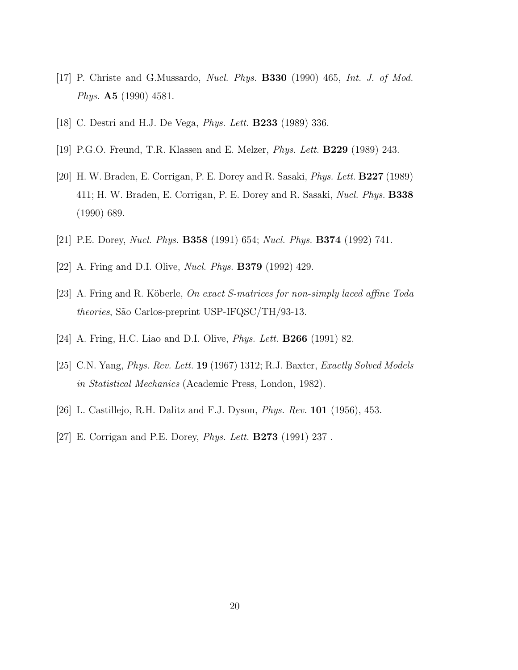- <span id="page-22-0"></span>[17] P. Christe and G.Mussardo, *Nucl. Phys.* B330 (1990) 465, *Int. J. of Mod. Phys.* A5 (1990) 4581.
- [18] C. Destri and H.J. De Vega, *Phys. Lett.* B233 (1989) 336.
- [19] P.G.O. Freund, T.R. Klassen and E. Melzer, *Phys. Lett.* B229 (1989) 243.
- [20] H. W. Braden, E. Corrigan, P. E. Dorey and R. Sasaki, *Phys. Lett.* B227 (1989) 411; H. W. Braden, E. Corrigan, P. E. Dorey and R. Sasaki, *Nucl. Phys.* B338 (1990) 689.
- [21] P.E. Dorey, *Nucl. Phys.* B358 (1991) 654; *Nucl. Phys.* B374 (1992) 741.
- [22] A. Fring and D.I. Olive, *Nucl. Phys.* B379 (1992) 429.
- [23] A. Fring and R. K¨oberle, *On exact S-matrices for non-simply laced affine Toda theories*, São Carlos-preprint USP-IFQSC/TH/93-13.
- [24] A. Fring, H.C. Liao and D.I. Olive, *Phys. Lett.* B266 (1991) 82.
- [25] C.N. Yang, *Phys. Rev. Lett.* 19 (1967) 1312; R.J. Baxter, *Exactly Solved Models in Statistical Mechanics* (Academic Press, London, 1982).
- [26] L. Castillejo, R.H. Dalitz and F.J. Dyson, *Phys. Rev.* 101 (1956), 453.
- [27] E. Corrigan and P.E. Dorey, *Phys. Lett.* B273 (1991) 237 .